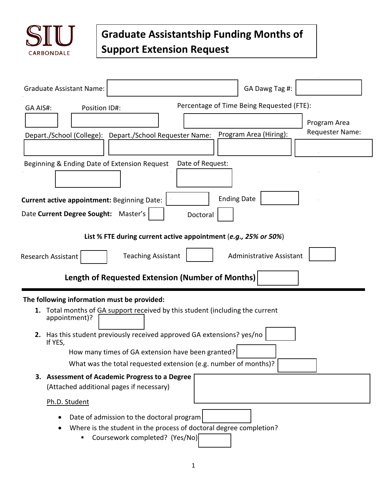

## **Graduate Assistantship Funding Months of Support Extension Request**

| <b>Graduate Assistant Name:</b>                                                           |                                                                                                                                                   | GA Dawg Tag #:                            |                                 |  |
|-------------------------------------------------------------------------------------------|---------------------------------------------------------------------------------------------------------------------------------------------------|-------------------------------------------|---------------------------------|--|
| GA AIS#:<br>Position ID#:                                                                 |                                                                                                                                                   | Percentage of Time Being Requested (FTE): |                                 |  |
|                                                                                           | Depart./School (College): Depart./School Requester Name:                                                                                          | Program Area (Hiring):                    | Program Area<br>Requester Name: |  |
|                                                                                           |                                                                                                                                                   |                                           |                                 |  |
| Beginning & Ending Date of Extension Request                                              | Date of Request:                                                                                                                                  |                                           |                                 |  |
| <b>Current active appointment: Beginning Date:</b>                                        |                                                                                                                                                   | <b>Ending Date</b>                        |                                 |  |
| Date Current Degree Sought:<br>Master's<br>Doctoral                                       |                                                                                                                                                   |                                           |                                 |  |
|                                                                                           | List % FTE during current active appointment (e.g., 25% or 50%)                                                                                   |                                           |                                 |  |
| <b>Administrative Assistant</b><br><b>Teaching Assistant</b><br><b>Research Assistant</b> |                                                                                                                                                   |                                           |                                 |  |
| <b>Length of Requested Extension (Number of Months)</b>                                   |                                                                                                                                                   |                                           |                                 |  |
| The following information must be provided:<br>1.<br>appointment)?                        | Total months of GA support received by this student (including the current                                                                        |                                           |                                 |  |
| If YES,                                                                                   | 2. Has this student previously received approved GA extensions? yes/no                                                                            |                                           |                                 |  |
|                                                                                           | How many times of GA extension have been granted?                                                                                                 |                                           |                                 |  |
|                                                                                           | What was the total requested extension (e.g. number of months)?                                                                                   |                                           |                                 |  |
|                                                                                           | 3. Assessment of Academic Progress to a Degree<br>(Attached additional pages if necessary)                                                        |                                           |                                 |  |
| Ph.D. Student                                                                             |                                                                                                                                                   |                                           |                                 |  |
|                                                                                           | Date of admission to the doctoral program<br>Where is the student in the process of doctoral degree completion?<br>Coursework completed? (Yes/No) |                                           |                                 |  |